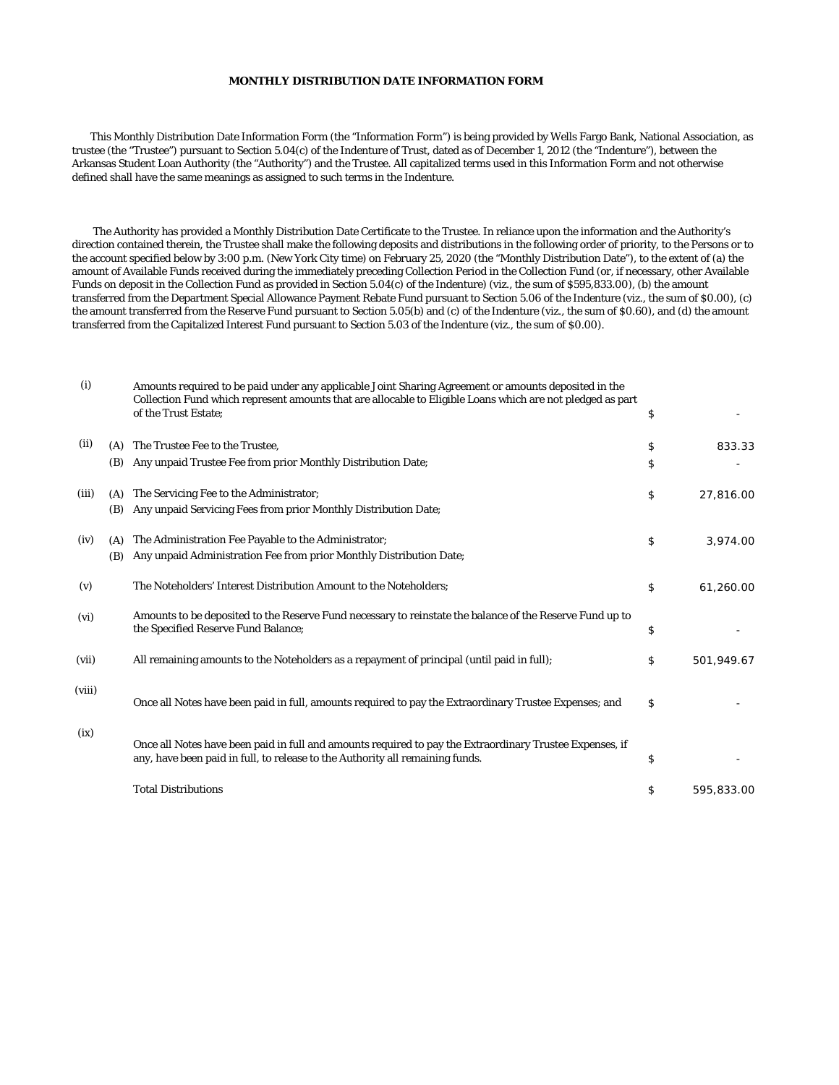## **MONTHLY DISTRIBUTION DATE INFORMATION FORM**

 This Monthly Distribution Date Information Form (the "Information Form") is being provided by Wells Fargo Bank, National Association, as trustee (the "Trustee") pursuant to Section 5.04(c) of the Indenture of Trust, dated as of December 1, 2012 (the "Indenture"), between the Arkansas Student Loan Authority (the "Authority") and the Trustee. All capitalized terms used in this Information Form and not otherwise defined shall have the same meanings as assigned to such terms in the Indenture.

 The Authority has provided a Monthly Distribution Date Certificate to the Trustee. In reliance upon the information and the Authority's direction contained therein, the Trustee shall make the following deposits and distributions in the following order of priority, to the Persons or to the account specified below by 3:00 p.m. (New York City time) on February 25, 2020 (the "Monthly Distribution Date"), to the extent of (a) the amount of Available Funds received during the immediately preceding Collection Period in the Collection Fund (or, if necessary, other Available Funds on deposit in the Collection Fund as provided in Section 5.04(c) of the Indenture) (viz., the sum of \$595,833.00), (b) the amount transferred from the Department Special Allowance Payment Rebate Fund pursuant to Section 5.06 of the Indenture (viz., the sum of \$0.00), (c) the amount transferred from the Reserve Fund pursuant to Section 5.05(b) and (c) of the Indenture (viz., the sum of \$0.60), and (d) the amount transferred from the Capitalized Interest Fund pursuant to Section 5.03 of the Indenture (viz., the sum of \$0.00).

| (i)    |     | Amounts required to be paid under any applicable Joint Sharing Agreement or amounts deposited in the<br>Collection Fund which represent amounts that are allocable to Eligible Loans which are not pledged as part<br>of the Trust Estate; | \$               |
|--------|-----|--------------------------------------------------------------------------------------------------------------------------------------------------------------------------------------------------------------------------------------------|------------------|
| (ii)   | (A) | The Trustee Fee to the Trustee.                                                                                                                                                                                                            | \$<br>833.33     |
|        | (B) | Any unpaid Trustee Fee from prior Monthly Distribution Date;                                                                                                                                                                               | \$               |
| (iii)  | (A) | The Servicing Fee to the Administrator;                                                                                                                                                                                                    | \$<br>27,816.00  |
|        | (B) | Any unpaid Servicing Fees from prior Monthly Distribution Date;                                                                                                                                                                            |                  |
| (iv)   | (A) | The Administration Fee Payable to the Administrator;                                                                                                                                                                                       | \$<br>3,974.00   |
|        | (B) | Any unpaid Administration Fee from prior Monthly Distribution Date;                                                                                                                                                                        |                  |
| (v)    |     | The Noteholders' Interest Distribution Amount to the Noteholders;                                                                                                                                                                          | \$<br>61,260.00  |
| (vi)   |     | Amounts to be deposited to the Reserve Fund necessary to reinstate the balance of the Reserve Fund up to<br>the Specified Reserve Fund Balance;                                                                                            | \$               |
| (vii)  |     | All remaining amounts to the Noteholders as a repayment of principal (until paid in full);                                                                                                                                                 | \$<br>501,949.67 |
| (viii) |     | Once all Notes have been paid in full, amounts required to pay the Extraordinary Trustee Expenses; and                                                                                                                                     | \$               |
| (ix)   |     | Once all Notes have been paid in full and amounts required to pay the Extraordinary Trustee Expenses, if<br>any, have been paid in full, to release to the Authority all remaining funds.                                                  | \$               |
|        |     | <b>Total Distributions</b>                                                                                                                                                                                                                 | \$<br>595,833.00 |